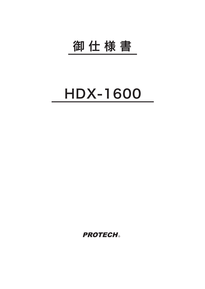## 御 仕 様 書

## HDX-1600

**PROTECH®**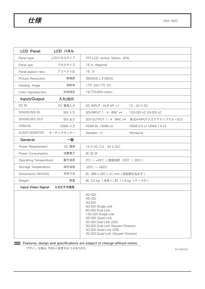$H$ 様

| <b>LCD Panel</b>              | LCD パネル   |                                                                                                                                                                                                                                                 |
|-------------------------------|-----------|-------------------------------------------------------------------------------------------------------------------------------------------------------------------------------------------------------------------------------------------------|
| Panel type                    | LCDパネルタイプ | TFT-LCD Active Matrix (iPS)                                                                                                                                                                                                                     |
| Panel size                    | パネルサイズ    | 16 in. diagonal                                                                                                                                                                                                                                 |
| Panel aspect ratio            | アスペクト比    | 16:9                                                                                                                                                                                                                                            |
| <b>Picture Resolution</b>     | 解像度       | 3840(H) x 2160(V)                                                                                                                                                                                                                               |
| Viewing Angle                 | 視野角       | $175^{\circ}$ (H)/175 $^{\circ}$ (V)                                                                                                                                                                                                            |
| Color reproduction            | 色再現性      | 16,770,000 colors                                                                                                                                                                                                                               |
| Input/Output                  | 入力/出力     |                                                                                                                                                                                                                                                 |
| DC IN                         | DC 電源入力   | DC INPUT : XLR 4P x1<br>12 - 24 V DC                                                                                                                                                                                                            |
| SDI(HD/SD) IN                 | SDI 入力    | SDI-INPUT 1 - 4 : BNC x4<br>12G-SDI x2 3G-SDI x2                                                                                                                                                                                                |
| SDI(HD/SD) OUT                | SDI 出力    | SDI-OUTPUT 1 - 4 : BNC x4<br>各SDI-INPUT入カアクティブスルー出力                                                                                                                                                                                             |
| <b>HDMI IN</b>                | HDMI 入力   | HDMI IN: HDMI x4<br>HDMI 2.0 x1 HDMI 1.4 x3                                                                                                                                                                                                     |
| AUDIO MONITOR                 | オーディオモニター | Speaker x1<br>Monaural                                                                                                                                                                                                                          |
| 一般<br>General                 |           |                                                                                                                                                                                                                                                 |
| Power Requirement             | DC 電源     | 15 V DC (12 - 24 V DC)                                                                                                                                                                                                                          |
| Power Consumption             | 消費電力      | 約 35 W                                                                                                                                                                                                                                          |
| <b>Operating Temperature</b>  | 動作温度      | $0^{\circ}$ C ~ +45 $^{\circ}$ C (推奨温度: 20 $^{\circ}$ C ~ 30 $^{\circ}$ C)                                                                                                                                                                      |
| Storage Temperature           | 保存温度      | $-20^{\circ}$ C ~ $+60^{\circ}$ C                                                                                                                                                                                                               |
| Dimensions (WxHxD)            | 外形寸法      | 約 389 x 267 x 41 mm (突起部を含まず)                                                                                                                                                                                                                   |
| Weight                        | 質量        | 約 3.5 kg (本体)/約 11.8 kg (ケース付)                                                                                                                                                                                                                  |
| Input Video Signal<br>入力ビデオ信号 |           |                                                                                                                                                                                                                                                 |
|                               |           | SD-SDI<br>HD-SDI<br>3G-SDI<br>6G-SDI Single Link<br>6G-SDI Dual Link<br>12G-SDI Single Link<br>HD-SDI Quad Link<br>3G-SDI Dual Link (2SI)<br>3G-SDI Dual Link (Square Division)<br>3G-SDI Quad Link (2SI)<br>3G-SDI Quad Link (Square Division) |

## NOTE Features, design and specifications are subject to change without notice.

デザイン, 仕様は、予告なく変更することがあります。

20180426